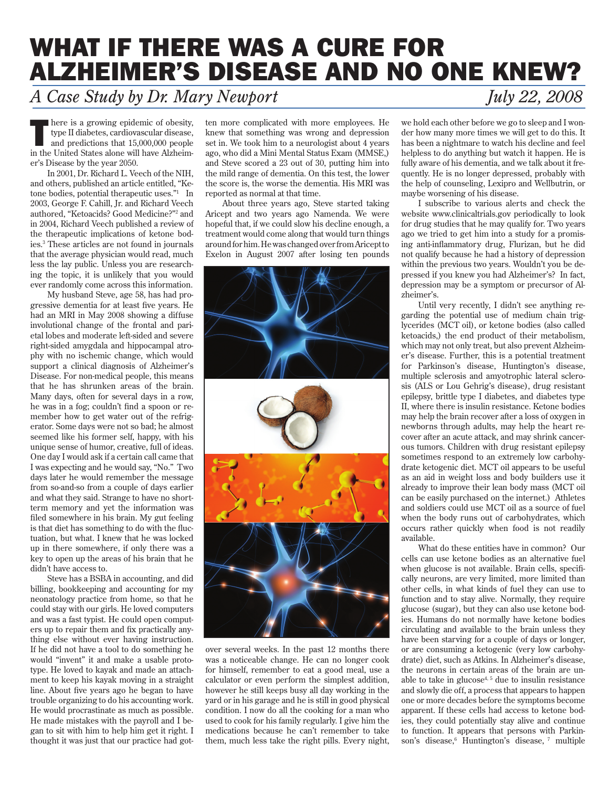## WHAT IF THERE WAS A CURE FOR ALZHEIMER'S DISEASE AND NO ONE KNEW?

## *A Case Study by Dr. Mary Newport July 22, 2008*

here is a growing epidemic of obesity,<br>type II diabetes, cardiovascular disease,<br>and predictions that 15,000,000 people<br>in the United States clear will be very alternative type II diabetes, cardiovascular disease, in the United States alone will have Alzheimer's Disease by the year 2050.

In 2001, Dr. Richard L. Veech of the NIH, and others, published an article entitled, "Ketone bodies, potential therapeutic uses."1 In 2003, George F. Cahill, Jr. and Richard Veech authored, "Ketoacids? Good Medicine?"2 and in 2004, Richard Veech published a review of the therapeutic implications of ketone bodies.3 These articles are not found in journals that the average physician would read, much less the lay public. Unless you are researching the topic, it is unlikely that you would ever randomly come across this information.

My husband Steve, age 58, has had progressive dementia for at least five years. He had an MRI in May 2008 showing a diffuse involutional change of the frontal and parietal lobes and moderate left-sided and severe right-sided amygdala and hippocampal atrophy with no ischemic change, which would support a clinical diagnosis of Alzheimer's Disease. For non-medical people, this means that he has shrunken areas of the brain. Many days, often for several days in a row, he was in a fog; couldn't find a spoon or remember how to get water out of the refrigerator. Some days were not so bad; he almost seemed like his former self, happy, with his unique sense of humor, creative, full of ideas. One day I would ask if a certain call came that I was expecting and he would say, "No." Two days later he would remember the message from so-and-so from a couple of days earlier and what they said. Strange to have no shortterm memory and yet the information was filed somewhere in his brain. My gut feeling is that diet has something to do with the fluctuation, but what. I knew that he was locked up in there somewhere, if only there was a key to open up the areas of his brain that he didn't have access to.

Steve has a BSBA in accounting, and did billing, bookkeeping and accounting for my neonatology practice from home, so that he could stay with our girls. He loved computers and was a fast typist. He could open computers up to repair them and fix practically anything else without ever having instruction. If he did not have a tool to do something he would "invent" it and make a usable prototype. He loved to kayak and made an attachment to keep his kayak moving in a straight line. About five years ago he began to have trouble organizing to do his accounting work. He would procrastinate as much as possible. He made mistakes with the payroll and I began to sit with him to help him get it right. I thought it was just that our practice had gotten more complicated with more employees. He knew that something was wrong and depression set in. We took him to a neurologist about 4 years ago, who did a Mini Mental Status Exam (MMSE,) and Steve scored a 23 out of 30, putting him into the mild range of dementia. On this test, the lower the score is, the worse the dementia. His MRI was reported as normal at that time.

About three years ago, Steve started taking Aricept and two years ago Namenda. We were hopeful that, if we could slow his decline enough, a treatment would come along that would turn things around for him. He was changed over from Aricept to Exelon in August 2007 after losing ten pounds



over several weeks. In the past 12 months there was a noticeable change. He can no longer cook for himself, remember to eat a good meal, use a calculator or even perform the simplest addition, however he still keeps busy all day working in the yard or in his garage and he is still in good physical condition. I now do all the cooking for a man who used to cook for his family regularly. I give him the medications because he can't remember to take them, much less take the right pills. Every night,

we hold each other before we go to sleep and I wonder how many more times we will get to do this. It has been a nightmare to watch his decline and feel helpless to do anything but watch it happen. He is fully aware of his dementia, and we talk about it frequently. He is no longer depressed, probably with the help of counseling, Lexipro and Wellbutrin, or maybe worsening of his disease.

I subscribe to various alerts and check the website www.clinicaltrials.gov periodically to look for drug studies that he may qualify for. Two years ago we tried to get him into a study for a promising anti-inflammatory drug, Flurizan, but he did not qualify because he had a history of depression within the previous two years. Wouldn't you be depressed if you knew you had Alzheimer's? In fact, depression may be a symptom or precursor of Alzheimer's.

Until very recently, I didn't see anything regarding the potential use of medium chain triglycerides (MCT oil), or ketone bodies (also called ketoacids,) the end product of their metabolism, which may not only treat, but also prevent Alzheimer's disease. Further, this is a potential treatment for Parkinson's disease, Huntington's disease, multiple sclerosis and amyotrophic lateral sclerosis (ALS or Lou Gehrig's disease), drug resistant epilepsy, brittle type I diabetes, and diabetes type II, where there is insulin resistance. Ketone bodies may help the brain recover after a loss of oxygen in newborns through adults, may help the heart recover after an acute attack, and may shrink cancerous tumors. Children with drug resistant epilepsy sometimes respond to an extremely low carbohydrate ketogenic diet. MCT oil appears to be useful as an aid in weight loss and body builders use it already to improve their lean body mass (MCT oil can be easily purchased on the internet.) Athletes and soldiers could use MCT oil as a source of fuel when the body runs out of carbohydrates, which occurs rather quickly when food is not readily available.

What do these entities have in common? Our cells can use ketone bodies as an alternative fuel when glucose is not available. Brain cells, specifically neurons, are very limited, more limited than other cells, in what kinds of fuel they can use to function and to stay alive. Normally, they require glucose (sugar), but they can also use ketone bodies. Humans do not normally have ketone bodies circulating and available to the brain unless they have been starving for a couple of days or longer, or are consuming a ketogenic (very low carbohydrate) diet, such as Atkins. In Alzheimer's disease, the neurons in certain areas of the brain are unable to take in glucose<sup>4, 5</sup> due to insulin resistance and slowly die off, a process that appears to happen one or more decades before the symptoms become apparent. If these cells had access to ketone bodies, they could potentially stay alive and continue to function. It appears that persons with Parkinson's disease,<sup>6</sup> Huntington's disease, 7 multiple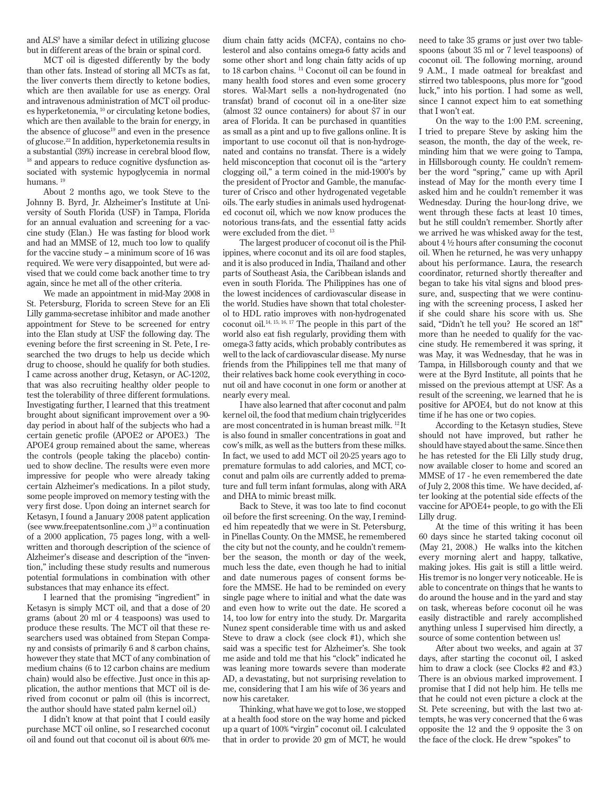and ALS9 have a similar defect in utilizing glucose but in different areas of the brain or spinal cord.

MCT oil is digested differently by the body than other fats. Instead of storing all MCTs as fat, the liver converts them directly to ketone bodies, which are then available for use as energy. Oral and intravenous administration of MCT oil produces hyperketonemia, 10 or circulating ketone bodies, which are then available to the brain for energy, in the absence of glucose<sup>19</sup> and even in the presence of glucose.22 In addition, hyperketonemia results in a substantial (39%) increase in cerebral blood flow, <sup>18</sup> and appears to reduce cognitive dysfunction associated with systemic hypoglycemia in normal humans. 19

About 2 months ago, we took Steve to the Johnny B. Byrd, Jr. Alzheimer's Institute at University of South Florida (USF) in Tampa, Florida for an annual evaluation and screening for a vaccine study (Elan.) He was fasting for blood work and had an MMSE of 12, much too low to qualify for the vaccine study – a minimum score of 16 was required. We were very disappointed, but were advised that we could come back another time to try again, since he met all of the other criteria.

We made an appointment in mid-May 2008 in St. Petersburg, Florida to screen Steve for an Eli Lilly gamma-secretase inhibitor and made another appointment for Steve to be screened for entry into the Elan study at USF the following day. The evening before the first screening in St. Pete, I researched the two drugs to help us decide which drug to choose, should he qualify for both studies. I came across another drug, Ketasyn, or AC-1202, that was also recruiting healthy older people to test the tolerability of three different formulations. Investigating further, I learned that this treatment brought about significant improvement over a 90 day period in about half of the subjects who had a certain genetic profile (APOE2 or APOE3.) The APOE4 group remained about the same, whereas the controls (people taking the placebo) continued to show decline. The results were even more impressive for people who were already taking certain Alzheimer's medications. In a pilot study, some people improved on memory testing with the very first dose. Upon doing an internet search for Ketasyn, I found a January 2008 patent application (see www.freepatentsonline.com  $,$ )<sup>10</sup> a continuation of a 2000 application, 75 pages long, with a wellwritten and thorough description of the science of Alzheimer's disease and description of the "invention," including these study results and numerous potential formulations in combination with other substances that may enhance its effect.

I learned that the promising "ingredient" in Ketasyn is simply MCT oil, and that a dose of 20 grams (about 20 ml or 4 teaspoons) was used to produce these results. The MCT oil that these researchers used was obtained from Stepan Company and consists of primarily 6 and 8 carbon chains, however they state that MCT of any combination of medium chains (6 to 12 carbon chains are medium chain) would also be effective. Just once in this application, the author mentions that MCT oil is derived from coconut or palm oil (this is incorrect, the author should have stated palm kernel oil.)

I didn't know at that point that I could easily purchase MCT oil online, so I researched coconut oil and found out that coconut oil is about 60% me-

dium chain fatty acids (MCFA), contains no cholesterol and also contains omega-6 fatty acids and some other short and long chain fatty acids of up to 18 carbon chains. <sup>11</sup> Coconut oil can be found in many health food stores and even some grocery stores. Wal-Mart sells a non-hydrogenated (no transfat) brand of coconut oil in a one-liter size (almost 32 ounce containers) for about \$7 in our area of Florida. It can be purchased in quantities as small as a pint and up to five gallons online. It is important to use coconut oil that is non-hydrogenated and contains no transfat. There is a widely held misconception that coconut oil is the "artery clogging oil," a term coined in the mid-1900's by the president of Proctor and Gamble, the manufacturer of Crisco and other hydrogenated vegetable oils. The early studies in animals used hydrogenated coconut oil, which we now know produces the notorious trans-fats, and the essential fatty acids were excluded from the diet. 13

The largest producer of coconut oil is the Philippines, where coconut and its oil are food staples, and it is also produced in India, Thailand and other parts of Southeast Asia, the Caribbean islands and even in south Florida. The Philippines has one of the lowest incidences of cardiovascular disease in the world. Studies have shown that total cholesterol to HDL ratio improves with non-hydrogenated coconut oil.14, 15, 16, 17 The people in this part of the world also eat fish regularly, providing them with omega-3 fatty acids, which probably contributes as well to the lack of cardiovascular disease. My nurse friends from the Philippines tell me that many of their relatives back home cook everything in coconut oil and have coconut in one form or another at nearly every meal.

I have also learned that after coconut and palm kernel oil, the food that medium chain triglycerides are most concentrated in is human breast milk. 12 It is also found in smaller concentrations in goat and cow's milk, as well as the butters from these milks. In fact, we used to add MCT oil 20-25 years ago to premature formulas to add calories, and MCT, coconut and palm oils are currently added to premature and full term infant formulas, along with ARA and DHA to mimic breast milk.

Back to Steve, it was too late to find coconut oil before the first screening. On the way, I reminded him repeatedly that we were in St. Petersburg, in Pinellas County. On the MMSE, he remembered the city but not the county, and he couldn't remember the season, the month or day of the week, much less the date, even though he had to initial and date numerous pages of consent forms before the MMSE. He had to be reminded on every single page where to initial and what the date was and even how to write out the date. He scored a 14, too low for entry into the study. Dr. Margarita Nunez spent considerable time with us and asked Steve to draw a clock (see clock #1), which she said was a specific test for Alzheimer's. She took me aside and told me that his "clock" indicated he was leaning more towards severe than moderate AD, a devastating, but not surprising revelation to me, considering that I am his wife of 36 years and now his caretaker.

Thinking, what have we got to lose, we stopped at a health food store on the way home and picked up a quart of 100% "virgin" coconut oil. I calculated that in order to provide 20 gm of MCT, he would

need to take 35 grams or just over two tablespoons (about 35 ml or 7 level teaspoons) of coconut oil. The following morning, around 9 A.M., I made oatmeal for breakfast and stirred two tablespoons, plus more for "good luck," into his portion. I had some as well, since I cannot expect him to eat something that I won't eat.

On the way to the 1:00 P.M. screening, I tried to prepare Steve by asking him the season, the month, the day of the week, reminding him that we were going to Tampa, in Hillsborough county. He couldn't remember the word "spring," came up with April instead of May for the month every time I asked him and he couldn't remember it was Wednesday. During the hour-long drive, we went through these facts at least 10 times, but he still couldn't remember. Shortly after we arrived he was whisked away for the test, about 4 ½ hours after consuming the coconut oil. When he returned, he was very unhappy about his performance. Laura, the research coordinator, returned shortly thereafter and began to take his vital signs and blood pressure, and, suspecting that we were continuing with the screening process, I asked her if she could share his score with us. She said, "Didn't he tell you? He scored an 18!" more than he needed to qualify for the vaccine study. He remembered it was spring, it was May, it was Wednesday, that he was in Tampa, in Hillsborough county and that we were at the Byrd Institute, all points that he missed on the previous attempt at USF. As a result of the screening, we learned that he is positive for APOE4, but do not know at this time if he has one or two copies.

According to the Ketasyn studies, Steve should not have improved, but rather he should have stayed about the same. Since then he has retested for the Eli Lilly study drug, now available closer to home and scored an MMSE of 17 - he even remembered the date of July 2, 2008 this time. We have decided, after looking at the potential side effects of the vaccine for APOE4+ people, to go with the Eli Lilly drug.

At the time of this writing it has been 60 days since he started taking coconut oil (May 21, 2008.) He walks into the kitchen every morning alert and happy, talkative, making jokes. His gait is still a little weird. His tremor is no longer very noticeable. He is able to concentrate on things that he wants to do around the house and in the yard and stay on task, whereas before coconut oil he was easily distractible and rarely accomplished anything unless I supervised him directly, a source of some contention between us!

After about two weeks, and again at 37 days, after starting the coconut oil, I asked him to draw a clock (see Clocks #2 and #3.) There is an obvious marked improvement. I promise that I did not help him. He tells me that he could not even picture a clock at the St. Pete screening, but with the last two attempts, he was very concerned that the 6 was opposite the 12 and the 9 opposite the 3 on the face of the clock. He drew "spokes" to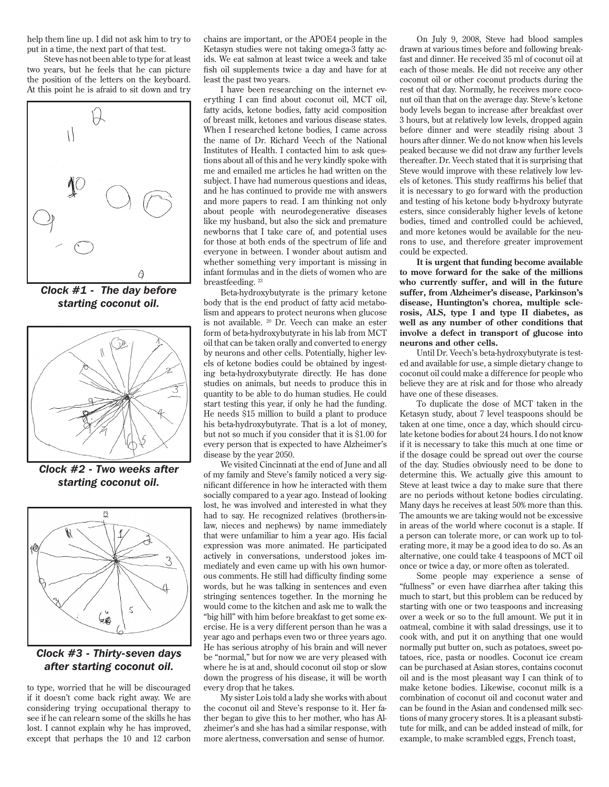help them line up. I did not ask him to try to put in a time, the next part of that test.

Steve has not been able to type for at least two years, but he feels that he can picture the position of the letters on the keyboard. At this point he is afraid to sit down and try



*Clock #1 - The day before starting coconut oil.*



*Clock #2 - Two weeks after starting coconut oil.*



*Clock #3 - Thirty-seven days after starting coconut oil.*

to type, worried that he will be discouraged if it doesn't come back right away. We are considering trying occupational therapy to see if he can relearn some of the skills he has lost. I cannot explain why he has improved, except that perhaps the 10 and 12 carbon chains are important, or the APOE4 people in the Ketasyn studies were not taking omega-3 fatty acids. We eat salmon at least twice a week and take fish oil supplements twice a day and have for at least the past two years.

I have been researching on the internet everything I can find about coconut oil, MCT oil, fatty acids, ketone bodies, fatty acid composition of breast milk, ketones and various disease states. When I researched ketone bodies, I came across the name of Dr. Richard Veech of the National Institutes of Health. I contacted him to ask questions about all of this and he very kindly spoke with me and emailed me articles he had written on the subject. I have had numerous questions and ideas, and he has continued to provide me with answers and more papers to read. I am thinking not only about people with neurodegenerative diseases like my husband, but also the sick and premature newborns that I take care of, and potential uses for those at both ends of the spectrum of life and everyone in between. I wonder about autism and whether something very important is missing in infant formulas and in the diets of women who are breastfeeding.  $^{\rm 23}$ 

Beta-hydroxybutyrate is the primary ketone body that is the end product of fatty acid metabolism and appears to protect neurons when glucose is not available. 20 Dr. Veech can make an ester form of beta-hydroxybutyrate in his lab from MCT oil that can be taken orally and converted to energy by neurons and other cells. Potentially, higher levels of ketone bodies could be obtained by ingesting beta-hydroxybutyrate directly. He has done studies on animals, but needs to produce this in quantity to be able to do human studies. He could start testing this year, if only he had the funding. He needs \$15 million to build a plant to produce his beta-hydroxybutyrate. That is a lot of money, but not so much if you consider that it is \$1.00 for every person that is expected to have Alzheimer's disease by the year 2050.

We visited Cincinnati at the end of June and all of my family and Steve's family noticed a very significant difference in how he interacted with them socially compared to a year ago. Instead of looking lost, he was involved and interested in what they had to say. He recognized relatives (brothers-inlaw, nieces and nephews) by name immediately that were unfamiliar to him a year ago. His facial expression was more animated. He participated actively in conversations, understood jokes immediately and even came up with his own humorous comments. He still had difficulty finding some words, but he was talking in sentences and even stringing sentences together. In the morning he would come to the kitchen and ask me to walk the "big hill" with him before breakfast to get some exercise. He is a very different person than he was a year ago and perhaps even two or three years ago. He has serious atrophy of his brain and will never be "normal," but for now we are very pleased with where he is at and, should coconut oil stop or slow down the progress of his disease, it will be worth every drop that he takes.

My sister Lois told a lady she works with about the coconut oil and Steve's response to it. Her father began to give this to her mother, who has Alzheimer's and she has had a similar response, with more alertness, conversation and sense of humor.

On July 9, 2008, Steve had blood samples drawn at various times before and following breakfast and dinner. He received 35 ml of coconut oil at each of those meals. He did not receive any other coconut oil or other coconut products during the rest of that day. Normally, he receives more coconut oil than that on the average day. Steve's ketone body levels began to increase after breakfast over 3 hours, but at relatively low levels, dropped again before dinner and were steadily rising about 3 hours after dinner. We do not know when his levels peaked because we did not draw any further levels thereafter. Dr. Veech stated that it is surprising that Steve would improve with these relatively low levels of ketones. This study reaffirms his belief that it is necessary to go forward with the production and testing of his ketone body b-hydroxy butyrate esters, since considerably higher levels of ketone bodies, timed and controlled could be achieved, and more ketones would be available for the neurons to use, and therefore greater improvement could be expected.

**It is urgent that funding become available to move forward for the sake of the millions who currently suffer, and will in the future suffer, from Alzheimer's disease, Parkinson's disease, Huntington's chorea, multiple sclerosis, ALS, type I and type II diabetes, as well as any number of other conditions that involve a defect in transport of glucose into neurons and other cells.**

Until Dr. Veech's beta-hydroxybutyrate is tested and available for use, a simple dietary change to coconut oil could make a difference for people who believe they are at risk and for those who already have one of these diseases.

To duplicate the dose of MCT taken in the Ketasyn study, about 7 level teaspoons should be taken at one time, once a day, which should circulate ketone bodies for about 24 hours. I do not know if it is necessary to take this much at one time or if the dosage could be spread out over the course of the day. Studies obviously need to be done to determine this. We actually give this amount to Steve at least twice a day to make sure that there are no periods without ketone bodies circulating. Many days he receives at least 50% more than this. The amounts we are taking would not be excessive in areas of the world where coconut is a staple. If a person can tolerate more, or can work up to tolerating more, it may be a good idea to do so. As an alternative, one could take 4 teaspoons of MCT oil once or twice a day, or more often as tolerated.

Some people may experience a sense of "fullness" or even have diarrhea after taking this much to start, but this problem can be reduced by starting with one or two teaspoons and increasing over a week or so to the full amount. We put it in oatmeal, combine it with salad dressings, use it to cook with, and put it on anything that one would normally put butter on, such as potatoes, sweet potatoes, rice, pasta or noodles. Coconut ice cream can be purchased at Asian stores, contains coconut oil and is the most pleasant way I can think of to make ketone bodies. Likewise, coconut milk is a combination of coconut oil and coconut water and can be found in the Asian and condensed milk sections of many grocery stores. It is a pleasant substitute for milk, and can be added instead of milk, for example, to make scrambled eggs, French toast,